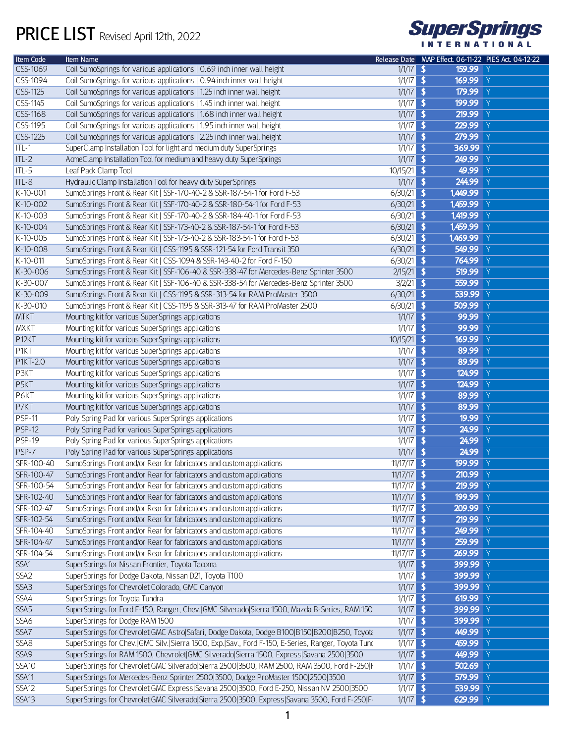## PRICE LIST Revised April 12th, 2022



| <b>Item Code</b>  | Item Name                                                                                          |               | Release Date MAP Effect. 06-11-22 PIES Act. 04-12-22 |
|-------------------|----------------------------------------------------------------------------------------------------|---------------|------------------------------------------------------|
| CSS-1069          | Coil SumoSprings for various applications   0.69 inch inner wall height                            | $1/1/17$ \$   | 159.99 Y                                             |
| CSS-1094          | Coil SumoSprings for various applications   0.94 inch inner wall height                            | $1/1/17$ \$   | 169.99 Y                                             |
| CSS-1125          | Coil SumoSprings for various applications   1.25 inch inner wall height                            | $1/1/17$ \$   | 179.99 Y                                             |
| CSS-1145          | Coil SumoSprings for various applications   1.45 inch inner wall height                            | $1/1/17$ \$   | 199.99 Y                                             |
| CSS-1168          | Coil SumoSprings for various applications   1.68 inch inner wall height                            | $1/1/17$ \$   | $219.99$ Y                                           |
| CSS-1195          | Coil SumoSprings for various applications   1.95 inch inner wall height                            | $1/1/17$ \$   | 229.99 Y                                             |
| CSS-1225          | Coil SumoSprings for various applications   2.25 inch inner wall height                            | $1/1/17$ \$   | 279.99 Y                                             |
| $ ITL-1 $         | SuperClamp Installation Tool for light and medium duty SuperSprings                                | $1/1/17$ \$   | 369.99 Y                                             |
| $ITL-2$           | AcmeClamp Installation Tool for medium and heavy duty SuperSprings                                 | $1/1/17$ \$   | 249.99 Y                                             |
| $\Pi$ -5          | Leaf Pack Clamp Tool                                                                               | $10/15/21$ \$ | 49.99 Y                                              |
| $\P$ ITL-8        | Hydraulic Clamp Installation Tool for heavy duty SuperSprings                                      | $1/1/17$ \$   | 244.99 Y                                             |
| $K-10-001$        | SumoSprings Front & Rear Kit   SSF-170-40-2 & SSR-187-54-1 for Ford F-53                           | $6/30/21$ \$  | 1,449.99 Y                                           |
| K-10-002          | SumoSprings Front & Rear Kit   SSF-170-40-2 & SSR-180-54-1 for Ford F-53                           | $6/30/21$ \$  | 1,459.99 Y                                           |
| $K-10-003$        | SumoSprings Front & Rear Kit   SSF-170-40-2 & SSR-184-40-1 for Ford F-53                           | $6/30/21$ \$  | 1,419.99 Y                                           |
| K-10-004          | SumoSprings Front & Rear Kit   SSF-173-40-2 & SSR-187-54-1 for Ford F-53                           | $6/30/21$ \$  | 1,459.99 Y                                           |
| K-10-005          | SumoSprings Front & Rear Kit   SSF-173-40-2 & SSR-183-54-1 for Ford F-53                           | $6/30/21$ \$  | 1,469.99 Y                                           |
| K-10-008          | SumoSprings Front & Rear Kit   CSS-1195 & SSR-121-54 for Ford Transit 350                          | $6/30/21$ \$  | 549.99 Y                                             |
| $K-10-011$        | SumoSprings Front & Rear Kit   CSS-1094 & SSR-143-40-2 for Ford F-150                              | $6/30/21$ \$  | 764.99 Y                                             |
| $K-30-006$        | SumoSprings Front & Rear Kit   SSF-106-40 & SSR-338-47 for Mercedes-Benz Sprinter 3500             | $2/15/21$ \$  | 519.99 Y                                             |
| K-30-007          | SumoSprings Front & Rear Kit   SSF-106-40 & SSR-338-54 for Mercedes-Benz Sprinter 3500             | $3/2/21$ \$   | 559.99 Y                                             |
| $K-30-009$        | SumoSprings Front & Rear Kit   CSS-1195 & SSR-313-54 for RAM ProMaster 3500                        | $6/30/21$ \$  | 539.99 Y                                             |
| $K-30-010$        | SumoSprings Front & Rear Kit   CSS-1195 & SSR-313-47 for RAM ProMaster 2500                        | $6/30/21$ \$  | 509.99 Y                                             |
| <b>MTKT</b>       | Mounting kit for various SuperSprings applications                                                 | $1/1/17$ \$   | 99.99 Y                                              |
| MXKT              | Mounting kit for various SuperSprings applications                                                 | $1/1/17$ \$   | 99.99 Y                                              |
| P <sub>12KT</sub> | Mounting kit for various SuperSprings applications                                                 | $10/15/21$ \$ | 169.99 Y                                             |
| <b>P1KT</b>       | Mounting kit for various SuperSprings applications                                                 | $1/1/17$ \$   | 89.99 Y                                              |
| <b>P1KT-2.0</b>   | Mounting kit for various SuperSprings applications                                                 | $1/1/17$ \$   | 89.99 Y                                              |
| P3KT              | Mounting kit for various SuperSprings applications                                                 | $1/1/17$ \$   | 124.99 Y                                             |
| P <sub>5</sub> KT | Mounting kit for various SuperSprings applications                                                 | $1/1/17$ \$   | 124.99 Y                                             |
| P6KT              | Mounting kit for various SuperSprings applications                                                 | $1/1/17$ \$   | 89.99 Y                                              |
| P7KT              | Mounting kit for various SuperSprings applications                                                 | $1/1/17$ \$   | 89.99 Y                                              |
| <b>PSP-11</b>     | Poly Spring Pad for various SuperSprings applications                                              | $1/1/17$ \$   | 19.99 Y                                              |
| <b>PSP-12</b>     | Poly Spring Pad for various SuperSprings applications                                              | $1/1/17$ \$   | 24.99 Y                                              |
| <b>PSP-19</b>     | Poly Spring Pad for various SuperSprings applications                                              | $1/1/17$ \$   | 24.99 Y                                              |
| PSP-7             | Poly Spring Pad for various SuperSprings applications                                              | $1/1/17$ \$   | 24.99 Y                                              |
| SFR-100-40        | SumoSprings Front and/or Rear for fabricators and custom applications                              | $11/17/17$ \$ | 199.99 Y                                             |
| SFR-100-47        | SumoSprings Front and/or Rear for fabricators and custom applications                              | $11/17/17$ \$ | 210.99 Y                                             |
| SFR-100-54        | SumoSprings Front and/or Rear for fabricators and custom applications                              | $11/17/17$ \$ | 219.99 Y                                             |
| SFR-102-40        | SumoSprings Front and/or Rear for fabricators and custom applications                              | $11/17/17$ \$ | 199.99 Y                                             |
| SFR-102-47        | SumoSprings Front and/or Rear for fabricators and custom applications                              | $11/17/17$ \$ | 209.99 Y                                             |
| SFR-102-54        | SumoSprings Front and/or Rear for fabricators and custom applications                              | $11/17/17$ \$ | 219.99 Y                                             |
| SFR-104-40        | SumoSprings Front and/or Rear for fabricators and custom applications                              | $11/17/17$ \$ | 249.99 Y                                             |
| SFR-104-47        | SumoSprings Front and/or Rear for fabricators and custom applications                              | $11/17/17$ \$ | 259.99 Y                                             |
| SFR-104-54        | SumoSprings Front and/or Rear for fabricators and custom applications                              | $11/17/17$ \$ | 269.99 Y                                             |
| SSA1              | SuperSprings for Nissan Frontier, Toyota Tacoma                                                    | $1/1/17$ \$   | 399.99 Y                                             |
| SSA <sub>2</sub>  | SuperSprings for Dodge Dakota, Nissan D21, Toyota T100                                             | $1/1/17$ \$   | 399.99 Y                                             |
| SSA3              | SuperSprings for Chevrolet Colorado, GMC Canyon                                                    | $1/1/17$ \$   | 399.99 Y                                             |
| SSA4              | SuperSprings for Toyota Tundra                                                                     | $1/1/17$ \$   | 619.99 $Y$                                           |
| SSA5              | SuperSprings for Ford F-150, Ranger, Chev.   GMC Silverado  Sierra 1500, Mazda B-Series, RAM 150   | $1/1/17$ \$   | 399.99 Y                                             |
| SSA6              | SuperSprings for Dodge RAM 1500                                                                    | $1/1/17$ \$   | 399.99 Y                                             |
| SSA7              | SuperSprings for Chevrolet GMC Astro Safari, Dodge Dakota, Dodge B100 B150 B200 B250, Toyota       | $1/1/17$ \$   | 449.99 Y                                             |
| SSA8              | SuperSprings for Chev. GMC Silv. Sierra 1500, Exp. Sav., Ford F-150, E-Series, Ranger, Toyota Tunc | $1/1/17$ \$   | 459.99 Y                                             |
| SSA9              | SuperSprings for RAM 1500, Chevrolet GMC Silverado Sierra 1500, Express Savana 2500 3500           | $1/1/17$ \$   | 449.99 Y                                             |
| SSA10             | SuperSprings for Chevrolet GMC Silverado Sierra 2500 3500, RAM 2500, RAM 3500, Ford F-250 F        | $1/1/17$ \$   | 502.69 Y                                             |
| SSA <sub>11</sub> | SuperSprings for Mercedes-Benz Sprinter 2500 3500, Dodge ProMaster 1500 2500 3500                  | $1/1/17$ \$   | 579.99 Y                                             |
| SSA12             | SuperSprings for Chevrolet GMC Express Savana 2500 3500, Ford E-250, Nissan NV 2500 3500           | $1/1/17$ \$   | 539.99 Y                                             |
| <b>SSA13</b>      | SuperSprings for Chevrolet GMC Silverado Sierra 2500 3500, Express Savana 3500, Ford F-250 F-      | $1/1/17$ \$   | 629.99 Y                                             |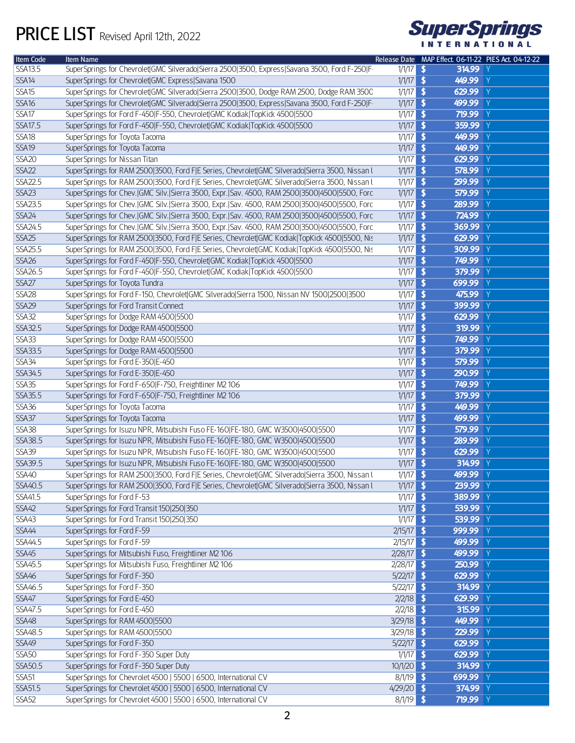

| Item Code         | Item Name                                                                                             |              | Release Date MAP Effect. 06-11-22 PIES Act. 04-12-22 |
|-------------------|-------------------------------------------------------------------------------------------------------|--------------|------------------------------------------------------|
| <b>SSA13.5</b>    | SuperSprings for Chevrolet GMC Silverado Sierra 2500 3500, Express Savana 3500, Ford F-250 F-         | $1/1/17$ \$  | 314.99 Y                                             |
| SSA14             | SuperSprings for Chevrolet GMC Express Savana 1500                                                    | $1/1/17$ \$  | 449.99 Y                                             |
| SSA15             | SuperSprings for Chevrolet GMC Silverado Sierra 2500 3500, Dodge RAM 2500, Dodge RAM 3500             | $1/1/17$ \$  | 629.99 Y                                             |
| <b>SSA16</b>      | SuperSprings for Chevrolet GMC Silverado Sierra 2500 3500, Express Savana 3500, Ford F-250 F-         | $1/1/17$ \$  | 499.99 Y                                             |
| SSA17             | SuperSprings for Ford F-450 F-550, Chevrolet GMC Kodiak TopKick 4500 5500                             | $1/1/17$ \$  | 719.99 Y                                             |
| <b>SSA17.5</b>    | SuperSprings for Ford F-450 F-550, Chevrolet GMC Kodiak TopKick 4500 5500                             | $1/1/17$ \$  | 359.99 Y                                             |
| <b>SSA18</b>      | SuperSprings for Toyota Tacoma                                                                        | $1/1/17$ \$  | 449.99 Y                                             |
| SSA19             | SuperSprings for Toyota Tacoma                                                                        | $1/1/17$ \$  | 449.99 Y                                             |
| SSA <sub>20</sub> | SuperSprings for Nissan Titan                                                                         | $1/1/17$ \$  | 629.99 Y                                             |
| SSA <sub>22</sub> | SuperSprings for RAM 2500 3500, Ford F E Series, Chevrolet GMC Silverado Sierra 3500, Nissan l        | $1/1/17$ \$  | 578.99 Y                                             |
| <b>SSA22.5</b>    | SuperSprings for RAM 2500 3500, Ford F E Series, Chevrolet GMC Silverado Sierra 3500, Nissan l        | $1/1/17$ \$  | 299.99 Y                                             |
| <b>SSA23</b>      | SuperSprings for Chev.   GMC Silv.   Sierra 3500, Expr.   Sav. 4500, RAM 2500  3500  4500  5500, Forc | $1/1/17$ \$  | 579.99 Y                                             |
| SSA23.5           | SuperSprings for Chev.   GMC Silv.   Sierra 3500, Expr.   Sav. 4500, RAM 2500  3500  4500  5500, Forc | $1/1/17$ \$  | 289.99 Y                                             |
| <b>SSA24</b>      | SuperSprings for Chev.   GMC Silv.   Sierra 3500, Expr.   Sav. 4500, RAM 2500  3500  4500  5500, Forc | $1/1/17$ \$  | 724.99 Y                                             |
| SSA24.5           | SuperSprings for Chev.   GMC Silv.   Sierra 3500, Expr.   Sav. 4500, RAM 2500  3500  4500  5500, Forc | $1/1/17$ \$  | 369.99 Y                                             |
| <b>SSA25</b>      |                                                                                                       |              | 629.99 Y                                             |
|                   | SuperSprings for RAM 2500 3500, Ford F E Series, Chevrolet GMC Kodiak TopKick 4500 5500, Nis          | $1/1/17$ \$  | 309.99 Y                                             |
| SSA25.5           | SuperSprings for RAM 2500 3500, Ford F E Series, Chevrolet GMC Kodiak TopKick 4500 5500, Nis          | $1/1/17$ \$  |                                                      |
| <b>SSA26</b>      | SuperSprings for Ford F-450 F-550, Chevrolet GMC Kodiak TopKick 4500 5500                             | $1/1/17$ \$  | 749.99 Y                                             |
| SSA26.5           | SuperSprings for Ford F-450 F-550, Chevrolet GMC Kodiak TopKick 4500 5500                             | $1/1/17$ \$  | 379.99 Y                                             |
| <b>SSA27</b>      | SuperSprings for Toyota Tundra                                                                        | $1/1/17$ \$  | 699.99 Y                                             |
| SSA <sub>28</sub> | SuperSprings for Ford F-150, Chevrolet GMC Silverado Sierra 1500, Nissan NV 1500 2500 3500            | $1/1/17$ \$  | 475.99 Y                                             |
| <b>SSA29</b>      | SuperSprings for Ford Transit Connect                                                                 | $1/1/17$ \$  | 399.99 Y                                             |
| SSA32             | SuperSprings for Dodge RAM 4500 5500                                                                  | $1/1/17$ \$  | 629.99 Y                                             |
| SSA32.5           | SuperSprings for Dodge RAM 4500 5500                                                                  | $1/1/17$ \$  | 319.99 Y                                             |
| <b>SSA33</b>      | SuperSprings for Dodge RAM 4500 5500                                                                  | $1/1/17$ \$  | 749.99 Y                                             |
| SSA33.5           | SuperSprings for Dodge RAM 4500 5500                                                                  | $1/1/17$ \$  | 379.99 Y                                             |
| <b>SSA34</b>      | SuperSprings for Ford E-350 E-450                                                                     | $1/1/17$ \$  | 579.99 Y                                             |
| SSA34.5           | SuperSprings for Ford E-350 E-450                                                                     | $1/1/17$ \$  | 290.99 Y                                             |
| <b>SSA35</b>      | SuperSprings for Ford F-650 F-750, Freightliner M2 106                                                | $1/1/17$ \$  | 749.99 Y                                             |
| SSA35.5           | SuperSprings for Ford F-650 F-750, Freightliner M2 106                                                | $1/1/17$ \$  | 379.99 Y                                             |
| <b>SSA36</b>      | SuperSprings for Toyota Tacoma                                                                        | $1/1/17$ \$  | 449.99 Y                                             |
| <b>SSA37</b>      | SuperSprings for Toyota Tacoma                                                                        | $1/1/17$ \$  | 499.99 Y                                             |
| SSA38             | SuperSprings for Isuzu NPR, Mitsubishi Fuso FE-160 FE-180, GMC W3500 4500 5500                        | $1/1/17$ \$  | 579.99 Y                                             |
| SSA38.5           | SuperSprings for Isuzu NPR, Mitsubishi Fuso FE-160 FE-180, GMC W3500 4500 5500                        | $1/1/17$ \$  | 289.99 Y                                             |
| <b>SSA39</b>      | SuperSprings for Isuzu NPR, Mitsubishi Fuso FE-160 FE-180, GMC W3500 4500 5500                        | $1/1/17$ \$  | 629.99 Y                                             |
| SSA39.5           | SuperSprings for Isuzu NPR, Mitsubishi Fuso FE-160 FE-180, GMC W3500 4500 5500                        | $1/1/17$ \$  | 314.99 Y                                             |
| <b>SSA40</b>      | SuperSprings for RAM 2500 3500, Ford F E Series, Chevrolet GMC Silverado Sierra 3500, Nissan I        | $1/1/17$ \$  | 499.99 Y                                             |
| SSA40.5           | SuperSprings for RAM 2500 3500, Ford F E Series, Chevrolet GMC Silverado Sierra 3500, Nissan l        | $1/1/17$ \$  | 239.99 Y                                             |
| SSA41.5           | SuperSprings for Ford F-53                                                                            | $1/1/17$ \$  | 389.99 Y                                             |
| <b>SSA42</b>      | SuperSprings for Ford Transit 150 250 350                                                             | $1/1/17$ \$  | 539.99 Y                                             |
| SSA43             | SuperSprings for Ford Transit 150 250 350                                                             | $1/1/17$ \$  | 539.99 Y                                             |
| <b>SSA44</b>      | SuperSprings for Ford F-59                                                                            | $2/15/17$ \$ | 999.99 Y                                             |
| SSA44.5           | SuperSprings for Ford F-59                                                                            | $2/15/17$ \$ | 499.99 Y                                             |
| <b>SSA45</b>      | SuperSprings for Mitsubishi Fuso, Freightliner M2 106                                                 | $2/28/17$ \$ | 499.99 Y                                             |
| SSA45.5           | SuperSprings for Mitsubishi Fuso, Freightliner M2 106                                                 | $2/28/17$ \$ | 250.99 Y                                             |
| <b>SSA46</b>      | SuperSprings for Ford F-350                                                                           | $5/22/17$ \$ | 629.99 Y                                             |
| SSA46.5           | SuperSprings for Ford F-350                                                                           | $5/22/17$ \$ | 314.99 Y                                             |
| <b>SSA47</b>      | SuperSprings for Ford E-450                                                                           | $2/2/18$ \$  | 629.99 Y                                             |
| SSA47.5           | SuperSprings for Ford E-450                                                                           | $2/2/18$ \$  | 315.99 Y                                             |
| <b>SSA48</b>      | SuperSprings for RAM 4500 5500                                                                        | $3/29/18$ \$ | 449.99 Y                                             |
| SSA48.5           | SuperSprings for RAM 4500 5500                                                                        | $3/29/18$ \$ | 229.99 Y                                             |
| <b>SSA49</b>      | SuperSprings for Ford F-350                                                                           | $5/22/17$ \$ | 629.99 Y                                             |
| <b>SSA50</b>      | SuperSprings for Ford F-350 Super Duty                                                                | $1/1/17$ \$  | 629.99 Y                                             |
| SSA50.5           | SuperSprings for Ford F-350 Super Duty                                                                | $10/1/20$ \$ | 314.99 Y                                             |
| <b>SSA51</b>      | SuperSprings for Chevrolet 4500   5500   6500, International CV                                       | $8/1/19$ \$  | 699.99 Y                                             |
| SSA51.5           | SuperSprings for Chevrolet 4500   5500   6500, International CV                                       | $4/29/20$ \$ | 374.99 Y                                             |
| SSA52             | SuperSprings for Chevrolet 4500   5500   6500, International CV                                       | $8/1/19$ \$  | 719.99 Y                                             |
|                   |                                                                                                       |              |                                                      |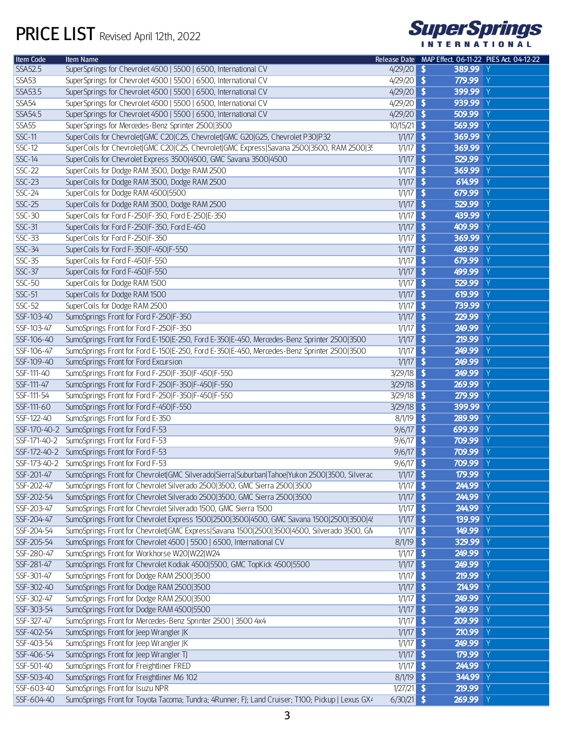

| Item Code      | Item Name                                                                                                    |               | Release Date MAP Effect. 06-11-22 PIES Act. 04-12-22 |
|----------------|--------------------------------------------------------------------------------------------------------------|---------------|------------------------------------------------------|
| <b>SSA52.5</b> | SuperSprings for Chevrolet 4500   5500   6500, International CV                                              | $4/29/20$ \$  | 389.99 Y                                             |
| <b>SSA53</b>   | SuperSprings for Chevrolet 4500   5500   6500, International CV                                              | $4/29/20$ \$  | 779.99 Y                                             |
| SSA53.5        | SuperSprings for Chevrolet 4500   5500   6500, International CV                                              | $4/29/20$ \$  | 399.99 Y                                             |
| <b>SSA54</b>   | SuperSprings for Chevrolet 4500   5500   6500, International CV                                              | $4/29/20$ \$  | 939.99 Y                                             |
| <b>SSA54.5</b> | SuperSprings for Chevrolet 4500   5500   6500, International CV                                              | $4/29/20$ \$  | 509.99 Y                                             |
| <b>SSA55</b>   | SuperSprings for Mercedes-Benz Sprinter 2500 3500                                                            | $10/15/21$ \$ | 569.99 Y                                             |
| <b>SSC-11</b>  | SuperCoils for Chevrolet GMC C20 C25, Chevrolet GMC G20 G25, Chevrolet P30 P32                               | $1/1/17$ \$   | 369.99 Y                                             |
| $SSC-12$       | SuperCoils for Chevrolet GMC C20 C25, Chevrolet GMC Express Savana 2500 3500, RAM 2500 35                    | $1/1/17$ \$   | 369.99 Y                                             |
| <b>SSC-14</b>  | SuperCoils for Chevrolet Express 3500 4500, GMC Savana 3500 4500                                             | $1/1/17$ \$   | 529.99 Y                                             |
| <b>SSC-22</b>  | SuperCoils for Dodge RAM 3500, Dodge RAM 2500                                                                | $1/1/17$ \$   | 369.99 Y                                             |
| <b>SSC-23</b>  | SuperCoils for Dodge RAM 3500, Dodge RAM 2500                                                                | $1/1/17$ \$   | 614.99 Y                                             |
| $SSC-24$       | SuperCoils for Dodge RAM 4500 5500                                                                           | $1/1/17$ \$   | 679.99 Y                                             |
| <b>SSC-25</b>  | SuperCoils for Dodge RAM 3500, Dodge RAM 2500                                                                | $1/1/17$ \$   | 529.99 Y                                             |
| <b>SSC-30</b>  | SuperCoils for Ford F-250 F-350, Ford E-250 E-350                                                            | $1/1/17$ \$   | 439.99 Y                                             |
| $SSC-31$       | SuperCoils for Ford F-250 F-350, Ford E-450                                                                  | $1/1/17$ \$   | 409.99 Y                                             |
| $SSC-33$       | SuperCoils for Ford F-250 F-350                                                                              | $1/1/17$ \$   | 369.99 Y                                             |
| $SSC-34$       | SuperCoils for Ford F-350 F-450 F-550                                                                        | $1/1/17$ \$   | 489.99 Y                                             |
| <b>SSC-35</b>  | SuperCoils for Ford F-450 F-550                                                                              | $1/1/17$ \$   | 679.99 Y                                             |
| <b>SSC-37</b>  | SuperCoils for Ford F-450 F-550                                                                              | $1/1/17$ \$   | 499.99 Y                                             |
| <b>SSC-50</b>  | SuperCoils for Dodge RAM 1500                                                                                | $1/1/17$ \$   | 529.99 Y                                             |
| <b>SSC-51</b>  | SuperCoils for Dodge RAM 1500                                                                                | $1/1/17$ \$   | 619.99 $Y$                                           |
| $SSC-52$       | SuperCoils for Dodge RAM 2500                                                                                | $1/1/17$ \$   | 739.99 Y                                             |
| SSF-103-40     | SumoSprings Front for Ford F-250 F-350                                                                       | $1/1/17$ \$   | 229.99 Y                                             |
| SSF-103-47     | SumoSprings Front for Ford F-250 F-350                                                                       | $1/1/17$ \$   | 249.99 Y                                             |
| SSF-106-40     | SumoSprings Front for Ford E-150 E-250, Ford E-350 E-450, Mercedes-Benz Sprinter 2500 3500                   | $1/1/17$ \$   | $219.99$ Y                                           |
| SSF-106-47     | SumoSprings Front for Ford E-150 E-250, Ford E-350 E-450, Mercedes-Benz Sprinter 2500 3500                   | $1/1/17$ \$   | 249.99 Y                                             |
| SSF-109-40     | SumoSprings Front for Ford Excursion                                                                         | $1/1/17$ \$   | 249.99 Y                                             |
| SSF-111-40     | SumoSprings Front for Ford F-250 F-350 F-450 F-550                                                           | $3/29/18$ \$  | 249.99 Y                                             |
| SSF-111-47     | SumoSprings Front for Ford F-250 F-350 F-450 F-550                                                           | $3/29/18$ \$  | 269.99 Y                                             |
| SSF-111-54     | SumoSprings Front for Ford F-250 F-350 F-450 F-550                                                           | $3/29/18$ \$  | 279.99 Y                                             |
| SSF-111-60     | SumoSprings Front for Ford F-450 F-550                                                                       | $3/29/18$ \$  | 399.99 Y                                             |
| SSF-122-40     | SumoSprings Front for Ford E-350                                                                             | $8/1/19$ \$   | 289.99 Y                                             |
|                | SSF-170-40-2 SumoSprings Front for Ford F-53                                                                 | $9/6/17$ \$   | 699.99 Y                                             |
| SSF-171-40-2   | SumoSprings Front for Ford F-53                                                                              | $9/6/17$ \$   | 709.99 Y                                             |
|                | SSF-172-40-2 SumoSprings Front for Ford F-53                                                                 | $9/6/17$ \$   | 709.99 Y                                             |
| SSF-173-40-2   | SumoSprings Front for Ford F-53                                                                              | $9/6/17$ \$   | 709.99 Y                                             |
| SSF-201-47     | SumoSprings Front for Chevrolet GMC Silverado Sierra Suburban Tahoe Yukon 2500 3500, Silverac                | $1/1/17$ \$   | 179.99 Y                                             |
| SSF-202-47     | SumoSprings Front for Chevrolet Silverado 2500 3500, GMC Sierra 2500 3500                                    | $1/1/17$ \$   | 244.99 Y                                             |
| SSF-202-54     | SumoSprings Front for Chevrolet Silverado 2500 3500, GMC Sierra 2500 3500                                    | $1/1/17$ \$   | 244.99 Y                                             |
| SSF-203-47     | SumoSprings Front for Chevrolet Silverado 1500, GMC Sierra 1500                                              | $1/1/17$ \$   | 244.99 Y                                             |
| SSF-204-47     | SumoSprings Front for Chevrolet Express 1500 2500 3500 4500, GMC Savana 1500 2500 3500 4!                    | $1/1/17$ \$   | 139.99 Y                                             |
| SSF-204-54     | SumoSprings Front for Chevrolet GMC Express Savana 1500 2500 3500 4500, Silverado 3500, GM                   | $1/1/17$ \$   | 149.99 Y                                             |
| SSF-205-54     |                                                                                                              | 8/1/19 \$     | 329.99 Y                                             |
|                | SumoSprings Front for Chevrolet 4500   5500   6500, International CV                                         |               | 249.99 Y                                             |
| SSF-280-47     | SumoSprings Front for Workhorse W20 W22 W24                                                                  | $1/1/17$ \$   |                                                      |
| SSF-281-47     | SumoSprings Front for Chevrolet Kodiak 4500 5500, GMC TopKick 4500 5500                                      | $1/1/17$ \$   | 249.99 Y                                             |
| SSF-301-47     | SumoSprings Front for Dodge RAM 2500 3500                                                                    | $1/1/17$ \$   | 219.99 Y                                             |
| SSF-302-40     | SumoSprings Front for Dodge RAM 2500 3500                                                                    | $1/1/17$ \$   | 214.99 Y                                             |
| SSF-302-47     | SumoSprings Front for Dodge RAM 2500 3500                                                                    | $1/1/17$ \$   | 249.99 Y                                             |
| SSF-303-54     | SumoSprings Front for Dodge RAM 4500 5500                                                                    | $1/1/17$ \$   | 249.99 Y                                             |
| SSF-327-47     | SumoSprings Front for Mercedes-Benz Sprinter 2500   3500 4x4                                                 | $1/1/17$ \$   | 209.99 Y                                             |
| SSF-402-54     | SumoSprings Front for Jeep Wrangler JK                                                                       | $1/1/17$ \$   | 210.99 Y                                             |
| SSF-403-54     | SumoSprings Front for Jeep Wrangler JK                                                                       | $1/1/17$ \$   | 249.99 Y                                             |
| SSF-406-54     | SumoSprings Front for Jeep Wrangler TJ                                                                       | $1/1/17$ \$   | 179.99 Y                                             |
| SSF-501-40     | SumoSprings Front for Freightliner FRED                                                                      | $1/1/17$ \$   | 244.99 Y                                             |
| SSF-503-40     | SumoSprings Front for Freightliner M6 102                                                                    | $8/1/19$ \$   | 344.99 Y                                             |
| SSF-603-40     | SumoSprings Front for Isuzu NPR                                                                              | $1/27/21$ \$  | 219.99 Y                                             |
| SSF-604-40     | SumoSprings Front for Toyota Tacoma; Tundra; 4Runner; FJ; Land Cruiser; T100; Pickup   Lexus GX <sup>1</sup> | $6/30/21$ \$  | 269.99 Y                                             |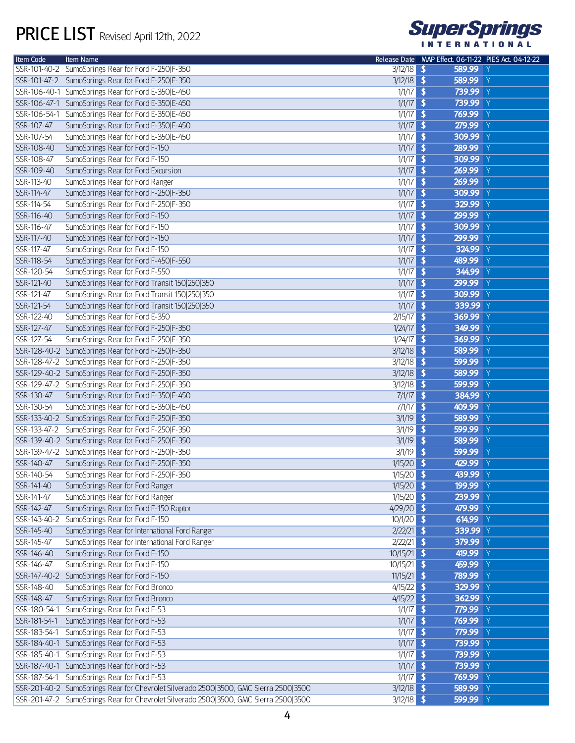

| Item Code    | Item Name                                                                             |               | Release Date MAP Effect. 06-11-22 PIES Act. 04-12-22 |
|--------------|---------------------------------------------------------------------------------------|---------------|------------------------------------------------------|
|              | SSR-101-40-2 SumoSprings Rear for Ford F-250 F-350                                    | $3/12/18$ \$  | 589.99 Y                                             |
|              | SSR-101-47-2 SumoSprings Rear for Ford F-250 F-350                                    | $3/12/18$ \$  | 589.99 Y                                             |
|              | SSR-106-40-1 SumoSprings Rear for Ford E-350 E-450                                    | $1/1/17$ \$   | 739.99 Y                                             |
| SSR-106-47-1 | SumoSprings Rear for Ford E-350 E-450                                                 | $1/1/17$ \$   | 739.99 Y                                             |
| SSR-106-54-1 | SumoSprings Rear for Ford E-350 E-450                                                 | $1/1/17$ \$   | 769.99 Y                                             |
| SSR-107-47   | SumoSprings Rear for Ford E-350 E-450                                                 | $1/1/17$ \$   | 279.99 Y                                             |
| SSR-107-54   | SumoSprings Rear for Ford E-350 E-450                                                 | $1/1/17$ \$   | 309.99 Y                                             |
| SSR-108-40   | SumoSprings Rear for Ford F-150                                                       | $1/1/17$ \$   | 289.99 Y                                             |
| SSR-108-47   | SumoSprings Rear for Ford F-150                                                       | $1/1/17$ \$   | 309.99 Y                                             |
| SSR-109-40   | SumoSprings Rear for Ford Excursion                                                   | $1/1/17$ \$   | 269.99 Y                                             |
| SSR-113-40   | SumoSprings Rear for Ford Ranger                                                      | $1/1/17$ \$   | 269.99 Y                                             |
| SSR-114-47   | SumoSprings Rear for Ford F-250 F-350                                                 | $1/1/17$ \$   | 309.99 Y                                             |
| SSR-114-54   | SumoSprings Rear for Ford F-250 F-350                                                 | $1/1/17$ \$   | 329.99 Y                                             |
| SSR-116-40   |                                                                                       | $1/1/17$ \$   | 299.99 Y                                             |
|              | SumoSprings Rear for Ford F-150                                                       |               | 309.99 Y                                             |
| SSR-116-47   | SumoSprings Rear for Ford F-150                                                       | $1/1/17$ \$   |                                                      |
| SSR-117-40   | SumoSprings Rear for Ford F-150                                                       | $1/1/17$ \$   | 299.99 Y                                             |
| SSR-117-47   | SumoSprings Rear for Ford F-150                                                       | $1/1/17$ \$   | 324.99 Y                                             |
| SSR-118-54   | SumoSprings Rear for Ford F-450 F-550                                                 | $1/1/17$ \$   | 489.99 Y                                             |
| SSR-120-54   | SumoSprings Rear for Ford F-550                                                       | $1/1/17$ \$   | 344.99 Y                                             |
| SSR-121-40   | SumoSprings Rear for Ford Transit 150 250 350                                         | $1/1/17$ \$   | 299.99 Y                                             |
| SSR-121-47   | SumoSprings Rear for Ford Transit 150 250 350                                         | $1/1/17$ \$   | 309.99 Y                                             |
| SSR-121-54   | SumoSprings Rear for Ford Transit 150 250 350                                         | $1/1/17$ \$   | 339.99 Y                                             |
| SSR-122-40   | SumoSprings Rear for Ford E-350                                                       | $2/15/17$ \$  | 369.99 Y                                             |
| SSR-127-47   | SumoSprings Rear for Ford F-250 F-350                                                 | $1/24/17$ \$  | 349.99 Y                                             |
| SSR-127-54   | SumoSprings Rear for Ford F-250 F-350                                                 | $1/24/17$ \$  | 369.99 Y                                             |
|              | SSR-128-40-2 SumoSprings Rear for Ford F-250 F-350                                    | $3/12/18$ \$  | 589.99 Y                                             |
|              | SSR-128-47-2 SumoSprings Rear for Ford F-250 F-350                                    | $3/12/18$ \$  | 599.99 Y                                             |
|              | SSR-129-40-2 SumoSprings Rear for Ford F-250 F-350                                    | $3/12/18$ \$  | 589.99 Y                                             |
|              | SSR-129-47-2 SumoSprings Rear for Ford F-250 F-350                                    | 3/12/18       | 599.99 Y<br>$\overline{\mathbf{S}}$                  |
| SSR-130-47   | SumoSprings Rear for Ford E-350 E-450                                                 | $7/1/17$ \$   | 384.99 Y                                             |
| SSR-130-54   | SumoSprings Rear for Ford E-350 E-450                                                 | $7/1/17$ \$   | 409.99 Y                                             |
|              | SSR-133-40-2 SumoSprings Rear for Ford F-250 F-350                                    | $3/1/19$ \$   | 589.99 Y                                             |
| SSR-133-47-2 | SumoSprings Rear for Ford F-250 F-350                                                 | 3/1/19        | 599.99 Y<br>$\overline{\mathbf{3}}$                  |
|              | SSR-139-40-2 SumoSprings Rear for Ford F-250 F-350                                    | $3/1/19$ \$   | 589.99 Y                                             |
|              | SSR-139-47-2 SumoSprings Rear for Ford F-250 F-350                                    | 3/1/19        | 599.99 Y<br>$\overline{\bullet}$                     |
| SSR-140-47   | SumoSprings Rear for Ford F-250 F-350                                                 | $1/15/20$ \$  | 429.99 Y                                             |
| SSR-140-54   | SumoSprings Rear for Ford F-250 F-350                                                 | $1/15/20$ \$  | 439.99 Y                                             |
| SSR-141-40   | SumoSprings Rear for Ford Ranger                                                      | $1/15/20$ \$  | 199.99 Y                                             |
| SSR-141-47   | SumoSprings Rear for Ford Ranger                                                      | $1/15/20$ \$  | 239.99 Y                                             |
| SSR-142-47   | SumoSprings Rear for Ford F-150 Raptor                                                | $4/29/20$ \$  | 479.99 Y                                             |
| SSR-143-40-2 | SumoSprings Rear for Ford F-150                                                       | $10/1/20$ \$  | 614.99 Y                                             |
| SSR-145-40   | SumoSprings Rear for International Ford Ranger                                        | $2/22/21$ \$  | 339.99 Y                                             |
| SSR-145-47   | SumoSprings Rear for International Ford Ranger                                        | $2/22/21$ \$  | 379.99 Y                                             |
| SSR-146-40   | SumoSprings Rear for Ford F-150                                                       | $10/15/21$ \$ | 419.99 Y                                             |
| SSR-146-47   | SumoSprings Rear for Ford F-150                                                       | $10/15/21$ \$ | 459.99 Y                                             |
|              | SSR-147-40-2 SumoSprings Rear for Ford F-150                                          | $11/15/21$ \$ | 789.99 Y                                             |
| SSR-148-40   | SumoSprings Rear for Ford Bronco                                                      | $4/15/22$ \$  | 329.99 Y                                             |
| SSR-148-47   | SumoSprings Rear for Ford Bronco                                                      | $4/15/22$ \$  | 36299 Y                                              |
|              | SSR-180-54-1 SumoSprings Rear for Ford F-53                                           | $1/1/17$ \$   | 779.99 Y                                             |
|              | SSR-181-54-1 SumoSprings Rear for Ford F-53                                           | $1/1/17$ \$   | 769.99 Y                                             |
|              | SSR-183-54-1 SumoSprings Rear for Ford F-53                                           | $1/1/17$ \$   | 779.99 Y                                             |
|              | SSR-184-40-1 SumoSprings Rear for Ford F-53                                           | $1/1/17$ \$   | 739.99 Y                                             |
|              | SSR-185-40-1 SumoSprings Rear for Ford F-53                                           | $1/1/17$ \$   | 739.99 Y                                             |
|              | SSR-187-40-1 SumoSprings Rear for Ford F-53                                           | $1/1/17$ \$   | 739.99 Y                                             |
|              | SSR-187-54-1 SumoSprings Rear for Ford F-53                                           | $1/1/17$ \$   | 769.99 Y                                             |
|              | SSR-201-40-2 SumoSprings Rear for Chevrolet Silverado 2500 3500, GMC Sierra 2500 3500 | $3/12/18$ \$  | 589.99 Y                                             |
|              | SSR-201-47-2 SumoSprings Rear for Chevrolet Silverado 2500 3500, GMC Sierra 2500 3500 | $3/12/18$ \$  | 599.99 Y                                             |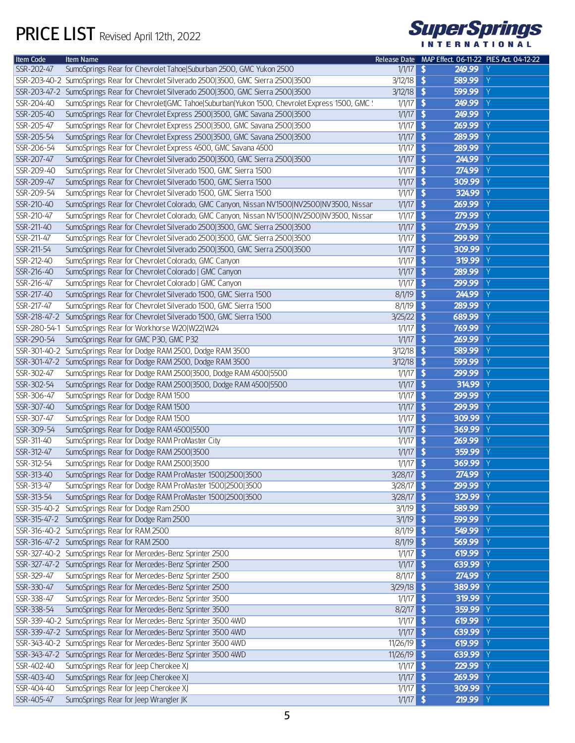

| Item Code  | Item Name                                                                                    |               | Release Date MAP Effect. 06-11-22 PIES Act. 04-12-22 |  |
|------------|----------------------------------------------------------------------------------------------|---------------|------------------------------------------------------|--|
| SSR-202-47 | SumoSprings Rear for Chevrolet Tahoe Suburban 2500, GMC Yukon 2500                           | $1/1/17$ \$   | 249.99 Y                                             |  |
|            | SSR-203-40-2 SumoSprings Rear for Chevrolet Silverado 2500 3500, GMC Sierra 2500 3500        | $3/12/18$ \$  | 589.99 Y                                             |  |
|            | SSR-203-47-2 SumoSprings Rear for Chevrolet Silverado 2500 3500, GMC Sierra 2500 3500        | $3/12/18$ \$  | 599.99 Y                                             |  |
| SSR-204-40 | SumoSprings Rear for Chevrolet GMC Tahoe Suburban Yukon 1500, Chevrolet Express 1500, GMC !: | $1/1/17$ \$   | 249.99 Y                                             |  |
| SSR-205-40 | SumoSprings Rear for Chevrolet Express 2500 3500, GMC Savana 2500 3500                       | $1/1/17$ \$   | 249.99 Y                                             |  |
| SSR-205-47 | SumoSprings Rear for Chevrolet Express 2500 3500, GMC Savana 2500 3500                       | $1/1/17$ \$   | 269.99 Y                                             |  |
| SSR-205-54 | SumoSprings Rear for Chevrolet Express 2500 3500, GMC Savana 2500 3500                       | $1/1/17$ \$   | 289.99 Y                                             |  |
| SSR-206-54 | SumoSprings Rear for Chevrolet Express 4500, GMC Savana 4500                                 | $1/1/17$ \$   | 289.99 Y                                             |  |
| SSR-207-47 | SumoSprings Rear for Chevrolet Silverado 2500 3500, GMC Sierra 2500 3500                     | $1/1/17$ \$   | 244.99 Y                                             |  |
| SSR-209-40 | SumoSprings Rear for Chevrolet Silverado 1500, GMC Sierra 1500                               | $1/1/17$ \$   | 274.99 Y                                             |  |
| SSR-209-47 | SumoSprings Rear for Chevrolet Silverado 1500, GMC Sierra 1500                               | $1/1/17$ \$   | 309.99 Y                                             |  |
| SSR-209-54 | SumoSprings Rear for Chevrolet Silverado 1500, GMC Sierra 1500                               | $1/1/17$ \$   | 324.99 Y                                             |  |
| SSR-210-40 | SumoSprings Rear for Chevrolet Colorado, GMC Canyon, Nissan NV1500 NV2500 NV3500, Nissan     | $1/1/17$ \$   | 269.99 Y                                             |  |
| SSR-210-47 | SumoSprings Rear for Chevrolet Colorado, GMC Canyon, Nissan NV1500 NV2500 NV3500, Nissan     | $1/1/17$ \$   | 279.99 Y                                             |  |
|            |                                                                                              |               | 279.99 Y                                             |  |
| SSR-211-40 | SumoSprings Rear for Chevrolet Silverado 2500 3500, GMC Sierra 2500 3500                     | $1/1/17$ \$   |                                                      |  |
| SSR-211-47 | SumoSprings Rear for Chevrolet Silverado 2500 3500, GMC Sierra 2500 3500                     | $1/1/17$ \$   | 299.99 Y                                             |  |
| SSR-211-54 | SumoSprings Rear for Chevrolet Silverado 2500 3500, GMC Sierra 2500 3500                     | $1/1/17$ \$   | 309.99 Y                                             |  |
| SSR-212-40 | SumoSprings Rear for Chevrolet Colorado, GMC Canyon                                          | $1/1/17$ \$   | 319.99 Y                                             |  |
| SSR-216-40 | SumoSprings Rear for Chevrolet Colorado   GMC Canyon                                         | $1/1/17$ \$   | 289.99 Y                                             |  |
| SSR-216-47 | SumoSprings Rear for Chevrolet Colorado   GMC Canyon                                         | $1/1/17$ \$   | 299.99 Y                                             |  |
| SSR-217-40 | SumoSprings Rear for Chevrolet Silverado 1500, GMC Sierra 1500                               | $8/1/19$ \$   | 244.99 Y                                             |  |
| SSR-217-47 | SumoSprings Rear for Chevrolet Silverado 1500, GMC Sierra 1500                               | $8/1/19$ \$   | 289.99 Y                                             |  |
|            | SSR-218-47-2 SumoSprings Rear for Chevrolet Silverado 1500, GMC Sierra 1500                  | $3/25/22$ \$  | 689.99 Y                                             |  |
|            | SSR-280-54-1 SumoSprings Rear for Workhorse W20 W22 W24                                      | $1/1/17$ \$   | 769.99 Y                                             |  |
| SSR-290-54 | SumoSprings Rear for GMC P30, GMC P32                                                        | $1/1/17$ \$   | 269.99 Y                                             |  |
|            | SSR-301-40-2 SumoSprings Rear for Dodge RAM 2500, Dodge RAM 3500                             | $3/12/18$ \$  | 589.99 Y                                             |  |
|            | SSR-301-47-2 SumoSprings Rear for Dodge RAM 2500, Dodge RAM 3500                             | $3/12/18$ \$  | 599.99 Y                                             |  |
| SSR-302-47 | SumoSprings Rear for Dodge RAM 2500 3500, Dodge RAM 4500 5500                                | $1/1/17$ \$   | 299.99 Y                                             |  |
| SSR-302-54 | SumoSprings Rear for Dodge RAM 2500 3500, Dodge RAM 4500 5500                                | $1/1/17$ \$   | 314.99 Y                                             |  |
| SSR-306-47 | SumoSprings Rear for Dodge RAM 1500                                                          | $1/1/17$ \$   | 299.99 Y                                             |  |
| SSR-307-40 | SumoSprings Rear for Dodge RAM 1500                                                          | $1/1/17$ \$   | 299.99 Y                                             |  |
| SSR-307-47 | SumoSprings Rear for Dodge RAM 1500                                                          | $1/1/17$ \$   | 309.99 Y                                             |  |
| SSR-309-54 | SumoSprings Rear for Dodge RAM 4500 5500                                                     | $1/1/17$ \$   | 369.99 Y                                             |  |
| SSR-311-40 | SumoSprings Rear for Dodge RAM ProMaster City                                                | $1/1/17$ \$   | 269.99 Y                                             |  |
| SSR-312-47 | SumoSprings Rear for Dodge RAM 2500 3500                                                     | $1/1/17$ \$   | 359.99 Y                                             |  |
| SSR-312-54 | SumoSprings Rear for Dodge RAM 2500 3500                                                     | 1/1/17        | 369.99 Y<br>$\overline{\bullet}$                     |  |
| SSR-313-40 | SumoSprings Rear for Dodge RAM ProMaster 1500 2500 3500                                      | $3/28/17$ \$  | 274.99 Y                                             |  |
| SSR-313-47 | SumoSprings Rear for Dodge RAM ProMaster 1500 2500 3500                                      | $3/28/17$ \$  | 299.99 Y                                             |  |
| SSR-313-54 | SumoSprings Rear for Dodge RAM ProMaster 1500 2500 3500                                      | $3/28/17$ \$  | 329.99 Y                                             |  |
|            | SSR-315-40-2 SumoSprings Rear for Dodge Ram 2500                                             | $3/1/19$ \$   | 589.99 Y                                             |  |
|            | SSR-315-47-2 SumoSprings Rear for Dodge Ram 2500                                             | $3/1/19$ \$   | 599.99 Y                                             |  |
|            | SSR-316-40-2 SumoSprings Rear for RAM 2500                                                   | $8/1/19$ \$   | 549.99 Y                                             |  |
|            | SSR-316-47-2 SumoSprings Rear for RAM 2500                                                   | $8/1/19$ \$   | 569.99 Y                                             |  |
|            | SSR-327-40-2 SumoSprings Rear for Mercedes-Benz Sprinter 2500                                | $1/1/17$ \$   | 619.99 Y                                             |  |
|            | SSR-327-47-2 SumoSprings Rear for Mercedes-Benz Sprinter 2500                                | $1/1/17$ \$   | 639.99 Y                                             |  |
| SSR-329-47 | SumoSprings Rear for Mercedes-Benz Sprinter 2500                                             | $8/1/17$ \$   | 274.99 Y                                             |  |
| SSR-330-47 | SumoSprings Rear for Mercedes-Benz Sprinter 2500                                             | $3/29/18$ \$  | 389.99 Y                                             |  |
| SSR-338-47 | SumoSprings Rear for Mercedes-Benz Sprinter 3500                                             | $1/1/17$ \$   | 319.99 Y                                             |  |
| SSR-338-54 | SumoSprings Rear for Mercedes-Benz Sprinter 3500                                             | $8/2/17$ \$   | 359.99 Y                                             |  |
|            | SSR-339-40-2 SumoSprings Rear for Mercedes-Benz Sprinter 3500 4WD                            | $1/1/17$ \$   | 619.99 Y                                             |  |
|            | SSR-339-47-2 SumoSprings Rear for Mercedes-Benz Sprinter 3500 4WD                            | $1/1/17$ \$   | 639.99 Y                                             |  |
|            | SSR-343-40-2 SumoSprings Rear for Mercedes-Benz Sprinter 3500 4WD                            | $11/26/19$ \$ | 619.99 Y                                             |  |
|            | SSR-343-47-2 SumoSprings Rear for Mercedes-Benz Sprinter 3500 4WD                            | $11/26/19$ \$ | 639.99 Y                                             |  |
| SSR-402-40 | SumoSprings Rear for Jeep Cherokee XJ                                                        | $1/1/17$ \$   | 229.99 Y                                             |  |
| SSR-403-40 | SumoSprings Rear for Jeep Cherokee XJ                                                        | $1/1/17$ \$   | 269.99 Y                                             |  |
| SSR-404-40 | SumoSprings Rear for Jeep Cherokee XJ                                                        | $1/1/17$ \$   | 309.99 Y                                             |  |
| SSR-405-47 | SumoSprings Rear for Jeep Wrangler JK                                                        | $1/1/17$ \$   | 219.99 Y                                             |  |
|            |                                                                                              |               |                                                      |  |